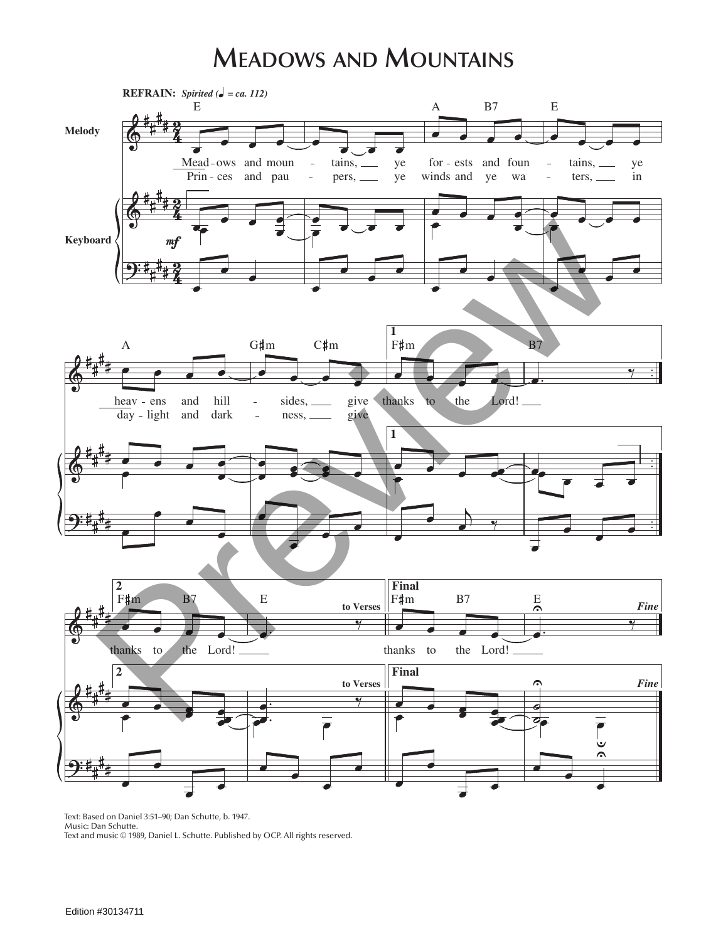## **MEADOWS AND MOUNTAINS**



Text: Based on Daniel 3:51-90; Dan Schutte, b. 1947. Music: Dan Schutte. Text and music © 1989, Daniel L. Schutte. Published by OCP. All rights reserved.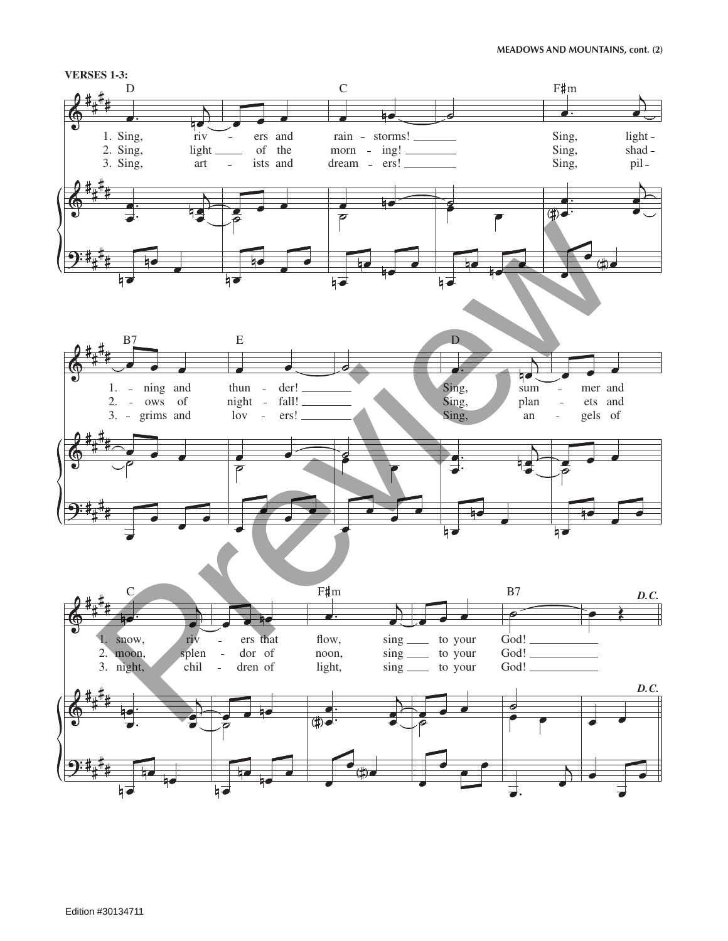